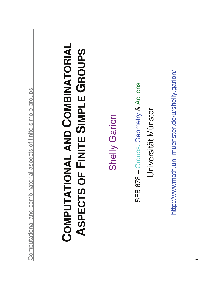| ¢<br>J<br>۱<br>I<br>Í<br>١<br>ţ<br>Ī<br><b>Service Service</b><br>Ì |  |
|---------------------------------------------------------------------|--|
| C<br>)<br>ļ<br>į<br>Í<br>I                                          |  |
| ı<br>Í<br>J                                                         |  |
| I<br>۱<br>ł<br>j<br>í<br>ļ                                          |  |
| ì<br>I                                                              |  |
| Ó<br>١                                                              |  |
| I<br>J<br>J<br>ł<br>Ó<br>١<br>I<br>I<br>ļ                           |  |
| I<br>ı<br>I<br>I                                                    |  |
| ł<br>Í<br>١<br>ı<br>j                                               |  |
| I<br>J<br>J<br>ł<br>Í<br>ı<br>Í                                     |  |
| I                                                                   |  |
| Í<br>ļ<br>Ó<br>I                                                    |  |
| Ī<br>١<br>ļ<br>Í<br>١                                               |  |
| (<br>ţ                                                              |  |
| I<br>١<br>ł<br>I<br>ł                                               |  |
| ļ<br>Í<br>ļ<br>I                                                    |  |
| (<br>)                                                              |  |

## **COMBINATORIAL**  COMPUTATIONAL AND COMBINATORIAL **GROUPS SIMPLE COMPUTATIONAL AND FINITE ASPECTS OF**

Shelly Garion **Shelly Garion** 

& Actions Universität Münster Universität Münster SFB 878 – Groups, Geometry

http://wwwmath.uni-muenster.de/u/shelly.garion/ http://wwwmath.uni-muenster.de/u/shelly.garion/

−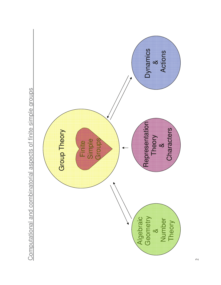

Computational and combinatorial aspects of finite simple groups Computational and combinatorial aspects of finite simple groups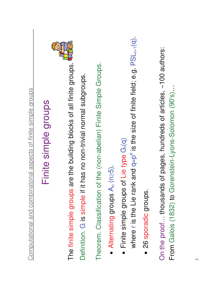| C<br>J<br>J<br>Ç<br>Í<br>)<br>1<br>Ī<br><b>STATE OF STATE OF STATE OF STATE OF STATE OF STATE OF STATE OF STATE OF STATE OF STATE OF STATE OF STATE</b><br>١ |  |
|--------------------------------------------------------------------------------------------------------------------------------------------------------------|--|
| Ó<br>)<br>ļ<br>Į<br>j<br>Į<br>I<br>)                                                                                                                         |  |
| Ó<br>١<br>ł<br>ļ<br>ì<br>ł<br>ł                                                                                                                              |  |
| Ó<br>١<br>Ó<br>I<br>)<br>ļ<br>I<br>J<br>I<br>١<br>ļ<br>I<br>I                                                                                                |  |
| I<br>١<br>(<br>Ì<br>į<br>Ó<br>I                                                                                                                              |  |
| ä<br>ł<br>1<br>$\overline{\phantom{a}}$<br>Í<br>Í<br>ļ<br>Í                                                                                                  |  |
| j<br>¢<br>۱<br>₹<br>Ì<br>ı<br>¢<br>I<br>١                                                                                                                    |  |
| I<br>ţ<br>Í<br>į<br>I<br>l                                                                                                                                   |  |
| ļ<br>Í<br>I<br>Í<br>١<br>I<br>)                                                                                                                              |  |

## Finite simple groups Finite simple groups



The finite simple groups are the building blocks of all finite groups. The finite simple groups are the building blocks of all finite groups. G is simple if it has no non-trivial normal subgroups. Definition. G is simple if it has no non-trivial normal subgroups.

Theorem. Classification of the (non-abelian) Finite Simple Groups. Theorem. Classification of the (non-abelian) Finite Simple Groups.

- $\bullet$  Alternating groups  $A_n$  (n  $\wedge$ 5).
- Finite simple groups of Lie type  $\bullet$  Finite simple groups of Lie type  $G_r(q)$

where r is the Lie rank and  $q=p^e$  is the size of finite field; e.g.  $PSL_{r+1}(q)$ r is the Lie rank and q=p  $e$  is the size of finite field; e.g. PSL $_{r+1}(q)$ .

 26 sporadic groups. · 26 sporadic groups.

 $\sim$ 100 authors: On the proof... thousands of pages, hundreds of articles, ~100 authors: From Galois (1832) to Gorenstein-Lyons-Solomon (90's)… From Galois (1832) to Gorenstein-Lyons-Solomon (90's)... On the proof... thousands of pages, hundreds of articles,<br>Frame Coloria (1999) to Correctering Lineae Coloration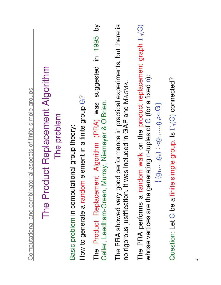| ${1 \choose 0}$ $\cdots$ , $g_0$ $\cdots$ , $g_0$ $\cdots$ , $g_0$ $\cdots$ , $g_0$ $\cdots$ | The PRA showed very good performance in practical experiments, but there is<br>The Product Replacement Algorithm (PRA) was suggested in 1995 by<br>The PRA performs a random walk on the product replacement graph $\Gamma_n(G)$<br>The Product Replacement Algorithm<br>whose vertices are the generating n-tuples of G (for a fixed n):<br>no rigorous justification. It was included in GAP and MAGMA.<br>Computational and combinatorial aspects of finite simple groups<br>How to generate a random element in a finite group G?<br>Celler, Leedham-Green, Murray, Niemeyer & O'Brien.<br>The problem<br>Basic problem in computational group theory: |  |
|----------------------------------------------------------------------------------------------|------------------------------------------------------------------------------------------------------------------------------------------------------------------------------------------------------------------------------------------------------------------------------------------------------------------------------------------------------------------------------------------------------------------------------------------------------------------------------------------------------------------------------------------------------------------------------------------------------------------------------------------------------------|--|
|                                                                                              |                                                                                                                                                                                                                                                                                                                                                                                                                                                                                                                                                                                                                                                            |  |

Question: Let G be a finite simple group. Is Question: Let G be a finite simple group. Is  $\Gamma_n(G)$  connected?  $n(G)$  connected?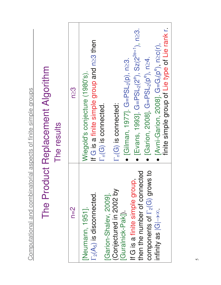|                                                                 | The Product Replacement Algorithm | The results | $n \geq 3$ | finite simple group of Lie type of Lie rank r<br>[Evans, 1993]. G=PSL <sub>2</sub> (2 <sup>e</sup> ), Sz(2 <sup>2e+1</sup> ), n <sup>23</sup> .<br>If G is a finite simple group and n≥3 then<br>[Avni-Garion, 2008]. $G = G_r(p^e)$ , $n \geq c(r)$ ,<br>• [Garion, 2008] $G = PSL_2(p^e)$ , n $\geq 4$ .<br>• [Gilman, 1977]. G=PSL <sub>2</sub> (p), n≥3.<br>Wiegold's conjecture (1980's).<br>$\Gamma_n(G)$ is connected:<br>$\Gamma_n(G)$ is connected. |
|-----------------------------------------------------------------|-----------------------------------|-------------|------------|--------------------------------------------------------------------------------------------------------------------------------------------------------------------------------------------------------------------------------------------------------------------------------------------------------------------------------------------------------------------------------------------------------------------------------------------------------------|
| Computational and combinatorial aspects of finite simple groups |                                   |             | $n=2$      | then the number of connected<br>components of $\Gamma_2(G)$ grows to<br>If G is a finite simple group,<br>(Conjectured in 2002 by<br>$\Gamma_2(\mathsf{A}_5)$ is disconnected.<br>[Garion-Shalev, 2009].<br>[Neumann, 1951].<br>infinity as $ G  \rightarrow \infty$<br>[Guralnick-Pak])                                                                                                                                                                     |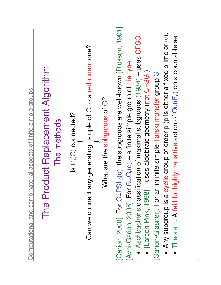| Computational and combinatorial aspects of finite simple groups | The Product Replacement Algorithm<br>The methods | $ S \Gamma_n(G)$ connected? | ny generating n-tuple of G to a redundant one?<br>Can we connect a | What are the subgroups of G? | [Garion, 2008]. For G=PSL <sub>2</sub> (q): the subgroups are well-known [Dickson, 1901].<br>• Theorem. A faithful highly transitive action of $Out(F_n)$ on a countable set.<br>• Any subgroup is a cyclic group of order p (p is either a fixed prime or $\infty$ ).<br>• Aschbacher's classification of maximal subgroups (1984) - uses CFSG<br>[Avni-Garion, 2008]. For G=G <sub>r</sub> (q) - a finite simple group of Lie type:<br>• [Larsen-Pink, 1998] - uses algebraic geometry (not CFSG!)<br>infinite simple Tarski monster group G:<br>[Garion-Glasner]. For an |
|-----------------------------------------------------------------|--------------------------------------------------|-----------------------------|--------------------------------------------------------------------|------------------------------|-----------------------------------------------------------------------------------------------------------------------------------------------------------------------------------------------------------------------------------------------------------------------------------------------------------------------------------------------------------------------------------------------------------------------------------------------------------------------------------------------------------------------------------------------------------------------------|
|-----------------------------------------------------------------|--------------------------------------------------|-----------------------------|--------------------------------------------------------------------|------------------------------|-----------------------------------------------------------------------------------------------------------------------------------------------------------------------------------------------------------------------------------------------------------------------------------------------------------------------------------------------------------------------------------------------------------------------------------------------------------------------------------------------------------------------------------------------------------------------------|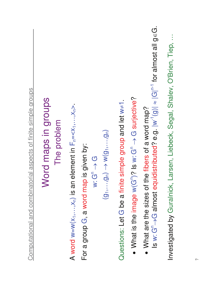| Computational and combinatorial aspects of finite simple groups                                                                                                            |
|----------------------------------------------------------------------------------------------------------------------------------------------------------------------------|
| Word maps in groups<br>The problem                                                                                                                                         |
| A word w=w( $x_1,,x_n$ ) is an element in $F_n = $                                                                                                                         |
| For a group G, a word map is given by:<br>$N:G^n\to G$                                                                                                                     |
| $\overline{(g_1,\ldots,g_N)} \rightarrow \overline{(g_1,\ldots,g_N)}$                                                                                                      |
| Questions: Let G be a finite simple group and let $w \ne 1$                                                                                                                |
| • What is the image $w(G^n)$ ? Is $w: G^n \to G$ surjective?                                                                                                               |
| Is w: G <sup>n</sup> $\rightarrow$ G almost equidistributed? e.g. $ w^{-1}(g)  \approx  G ^{n-1}$ for almost all geG.<br>• What are the sizes of the fibers of a word map? |
| Investigated by Guralnick, Larsen, Liebeck, Segal, Shalev, O'Brien, Tiep,                                                                                                  |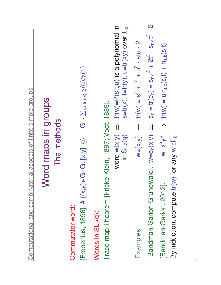| $\Rightarrow$ $tr(w) = u \cdot f_{a,b}(s,t) + h_{a,b}(s,t)$<br>$W = X^a V^b$<br>By induction, compute tr(w) for any $w \in F_2$<br>[Bandman-Garion, 2012] | $S_n = tr(e_n) = S_{n-1}^2 + 2t^2 - S_{n-1}t^2 - 2$<br>[Bandman-Garion-Grunewald]. $w=e_n(x,y)$ $\Rightarrow$ | $W=[X, Y]$ $\implies$ $tr(W) = S^2 + t^2 + u^2 - stu - 2$<br>Examples: | word $w(x,y) \implies tr(w) = P(s,t,u)$ is a polynomial in<br>$s=tr(x)$ , $t=tr(y)$ , $u=tr(xy)$ over $F_q$<br>in $SL_2(q)$ | Trace map Theorem [Fricke-Klein, 1897; Vogt, 1889]. | Words in SL <sub>2</sub> (q): | [Frobenius, 1896]. # { $(x,y) \in G \times G$ : [x,y]=9} = $ G  \cdot \sum_{x \in \text{Irr}(G)} \frac{x(9)}{x(1)}$<br>Commutator word: | The methods | Word maps in groups | Computational and combinatorial aspects of finite simple groups |  |
|-----------------------------------------------------------------------------------------------------------------------------------------------------------|---------------------------------------------------------------------------------------------------------------|------------------------------------------------------------------------|-----------------------------------------------------------------------------------------------------------------------------|-----------------------------------------------------|-------------------------------|-----------------------------------------------------------------------------------------------------------------------------------------|-------------|---------------------|-----------------------------------------------------------------|--|
|-----------------------------------------------------------------------------------------------------------------------------------------------------------|---------------------------------------------------------------------------------------------------------------|------------------------------------------------------------------------|-----------------------------------------------------------------------------------------------------------------------------|-----------------------------------------------------|-------------------------------|-----------------------------------------------------------------------------------------------------------------------------------------|-------------|---------------------|-----------------------------------------------------------------|--|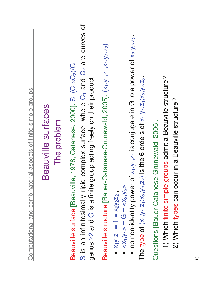| Computational and combinatorial aspects of finite simple groups                                                                                                                                                                                               |
|---------------------------------------------------------------------------------------------------------------------------------------------------------------------------------------------------------------------------------------------------------------|
| Beauville surfaces                                                                                                                                                                                                                                            |
| The problem                                                                                                                                                                                                                                                   |
| S is an infinitesimally rigid complex surface, where $C_1$ and $C_2$ are curves of<br>Beauville surface [Beauville, 1978; Catanese, 2000]. S=(C <sub>1</sub> ×C <sub>2</sub> )/G<br>group acting freely on their product.<br>genus $\geq$ 2 and G is a finite |
| Beauville structure [Bauer-Catanese-Grunewald, 2005]. (X <sub>1</sub> , y <sub>1</sub> , z <sub>1</sub> ; x <sub>2</sub> , y <sub>2</sub> , z <sub>2</sub> )                                                                                                  |
| • no non-identity power of $x_1, y_1, z_1$ is conjugate in G to a power of $x_2, y_2, z_2$<br>$\bullet$ <x<sub>1,y<sub>1</sub>&gt; = G = <x<sub>2,y<sub>2</sub>&gt;<br/>• <math>X_1Y_1Z_1 = 1 = X_2Y_2Z_2</math></x<sub></x<sub>                              |
| The type of $(x_1, y_1, z_1; x_2, y_2, z_2)$ is the 6 orders of $x_1, y_1, z_1; x_2, y_2, z_2$<br>se-Grunewald, 2005].<br>Questions [Bauer-Catane                                                                                                             |
| groups admit a Beauville structure?<br>1) Which finite simple                                                                                                                                                                                                 |
| 2) Which types can occur in a Beauville structure?                                                                                                                                                                                                            |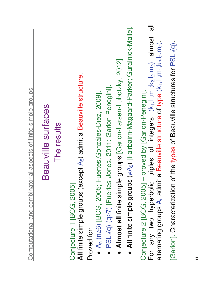| Computational and combinatorial aspects of finite simple groups | Beauville surfaces<br>The results | All finite simple groups (except A <sub>5</sub> ) admit a Beauville structure<br>Conjecture 1 [BCG, 2005] | Fuertes, Gonzáles-Diez, 2009].<br>$A_n$ (n≥6) [BCG, 2005;<br>Proved for: | • Almost all finite simple groups [Garion-Larsen-Lubotzky, 2012].<br>· PSL <sub>2</sub> (q) (q 2) [Fuertes-Jones, 2011; Garion-Penegini]. | • All finite simple groups $(\neq A_5)$ [Fairbairn-Magaard-Parker; Guralnick-Malle]. | $\overline{\overline{a}}$<br>triples of integers (k <sub>1</sub> ,l <sub>1</sub> ,m <sub>1</sub> ;k <sub>2</sub> ,l <sub>2</sub> ,m <sub>2</sub> ) almost<br>alternating groups A <sub>n</sub> admit a Beauville structure of type (k <sub>1</sub> ,l <sub>1</sub> ,m <sub>1</sub> ;k <sub>2</sub> ,l <sub>2</sub> ,m <sub>2</sub> )<br>Conjecture 2 [BCG, 2005] - proved by [Garion-Penegini].<br>For any two hyperbolic | of the types of Beauville structures for PSL <sub>2</sub> (q)<br>[Garion]. Characterization |  |
|-----------------------------------------------------------------|-----------------------------------|-----------------------------------------------------------------------------------------------------------|--------------------------------------------------------------------------|-------------------------------------------------------------------------------------------------------------------------------------------|--------------------------------------------------------------------------------------|---------------------------------------------------------------------------------------------------------------------------------------------------------------------------------------------------------------------------------------------------------------------------------------------------------------------------------------------------------------------------------------------------------------------------|---------------------------------------------------------------------------------------------|--|
|                                                                 |                                   |                                                                                                           |                                                                          |                                                                                                                                           |                                                                                      |                                                                                                                                                                                                                                                                                                                                                                                                                           |                                                                                             |  |

 $\equiv$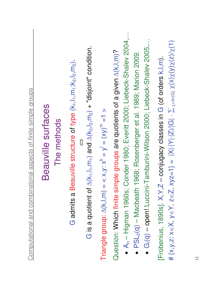| Computational and combinatorial aspects of finite simple groups | Beauville surfaces<br>The methods | Beauville structure of type (k <sub>1</sub> ,l <sub>1</sub> ,m <sub>1</sub> ;k <sub>2</sub> ,l <sub>2</sub> ,m <sub>2</sub> )<br>G admits a | G is a quotient of $\Delta(k_1,l_1,m_1)$ and $\Delta(k_2,l_2,m_2)$ + "disjoint" condition.<br>= < x,y: $x^k = y^l = (xy)^m = 1$ ><br>Triangle group: $\Delta(k,l,m)$ | • A <sub>n</sub> – Higman 1960s; Conder 1980; Everitt 2000; Liebeck-Shalev 2004,.<br>Question: Which finite simple groups are quotients of a given $\Delta(k,l,m)$ ?<br>$PSL_2(q) - Macbeath 1968$ ; Rosenberger et al. 1989; Marion 2009. | • G <sub>r</sub> (q) - open! Luccini-Tamburini-Wilson 2000; Liebeck-Shalev 2005, | # {x,y,z: x e X, y e Y, z e Z, xyz = 1} =  X - Y - Z / G  $\cdot \sum_{\chi \in \text{Irr}(G)} \chi(x) \chi(y) \chi(z)/\chi(1)$<br>[Frobenius, 1890s]. X, Y, Z - conjugacy classes in G (of orders k, l, m). |
|-----------------------------------------------------------------|-----------------------------------|---------------------------------------------------------------------------------------------------------------------------------------------|----------------------------------------------------------------------------------------------------------------------------------------------------------------------|--------------------------------------------------------------------------------------------------------------------------------------------------------------------------------------------------------------------------------------------|----------------------------------------------------------------------------------|--------------------------------------------------------------------------------------------------------------------------------------------------------------------------------------------------------------|
|                                                                 |                                   |                                                                                                                                             |                                                                                                                                                                      |                                                                                                                                                                                                                                            |                                                                                  |                                                                                                                                                                                                              |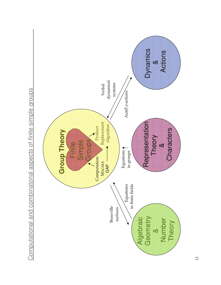

Computational and combinatorial aspects of finite simple groups Computational and combinatorial aspects of finite simple groups